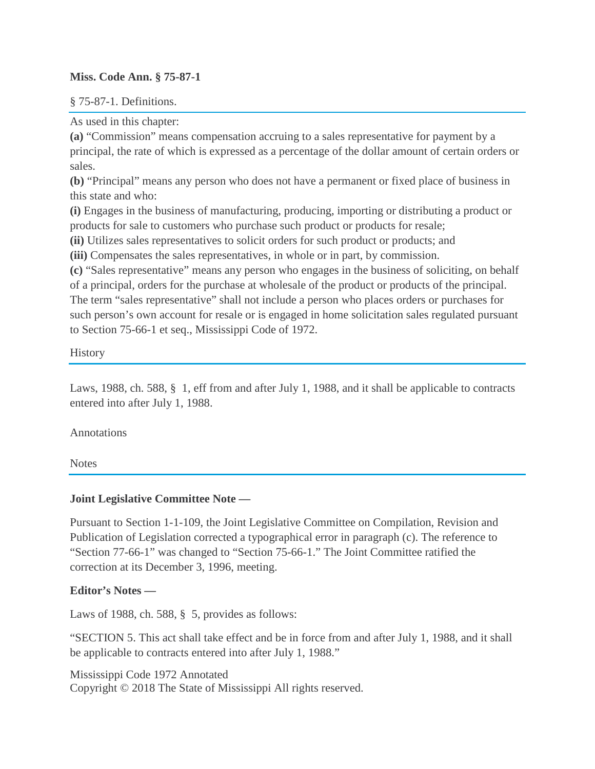### **Miss. Code Ann. § 75-87-1**

§ 75-87-1. Definitions.

As used in this chapter:

**(a)** "Commission" means compensation accruing to a sales representative for payment by a principal, the rate of which is expressed as a percentage of the dollar amount of certain orders or sales.

**(b)** "Principal" means any person who does not have a permanent or fixed place of business in this state and who:

**(i)** Engages in the business of manufacturing, producing, importing or distributing a product or products for sale to customers who purchase such product or products for resale;

**(ii)** Utilizes sales representatives to solicit orders for such product or products; and

**(iii)** Compensates the sales representatives, in whole or in part, by commission.

**(c)** "Sales representative" means any person who engages in the business of soliciting, on behalf of a principal, orders for the purchase at wholesale of the product or products of the principal. The term "sales representative" shall not include a person who places orders or purchases for such person's own account for resale or is engaged in home solicitation sales regulated pursuant to Section 75-66-1 et seq., Mississippi Code of 1972.

**History** 

Laws, 1988, ch. 588, § 1, eff from and after July 1, 1988, and it shall be applicable to contracts entered into after July 1, 1988.

Annotations

**Notes** 

# **Joint Legislative Committee Note —**

Pursuant to Section 1-1-109, the Joint Legislative Committee on Compilation, Revision and Publication of Legislation corrected a typographical error in paragraph (c). The reference to "Section 77-66-1" was changed to "Section 75-66-1." The Joint Committee ratified the correction at its December 3, 1996, meeting.

# **Editor's Notes —**

Laws of 1988, ch. 588, § 5, provides as follows:

"SECTION 5. This act shall take effect and be in force from and after July 1, 1988, and it shall be applicable to contracts entered into after July 1, 1988."

Mississippi Code 1972 Annotated Copyright © 2018 The State of Mississippi All rights reserved.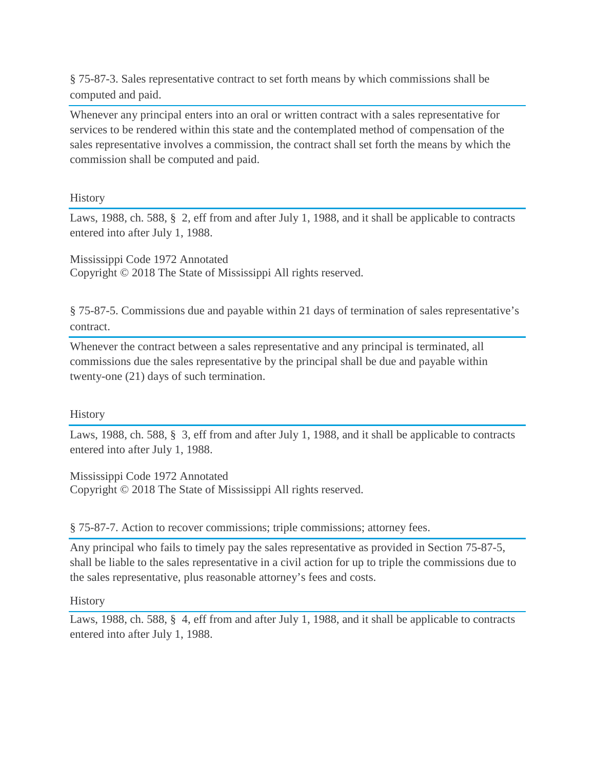§ 75-87-3. Sales representative contract to set forth means by which commissions shall be computed and paid.

Whenever any principal enters into an oral or written contract with a sales representative for services to be rendered within this state and the contemplated method of compensation of the sales representative involves a commission, the contract shall set forth the means by which the commission shall be computed and paid.

**History** 

Laws, 1988, ch. 588, § 2, eff from and after July 1, 1988, and it shall be applicable to contracts entered into after July 1, 1988.

Mississippi Code 1972 Annotated Copyright © 2018 The State of Mississippi All rights reserved.

§ 75-87-5. Commissions due and payable within 21 days of termination of sales representative's contract.

Whenever the contract between a sales representative and any principal is terminated, all commissions due the sales representative by the principal shall be due and payable within twenty-one (21) days of such termination.

**History** 

Laws, 1988, ch. 588, § 3, eff from and after July 1, 1988, and it shall be applicable to contracts entered into after July 1, 1988.

Mississippi Code 1972 Annotated Copyright © 2018 The State of Mississippi All rights reserved.

§ 75-87-7. Action to recover commissions; triple commissions; attorney fees.

Any principal who fails to timely pay the sales representative as provided in Section 75-87-5, shall be liable to the sales representative in a civil action for up to triple the commissions due to the sales representative, plus reasonable attorney's fees and costs.

**History** 

Laws, 1988, ch. 588, § 4, eff from and after July 1, 1988, and it shall be applicable to contracts entered into after July 1, 1988.